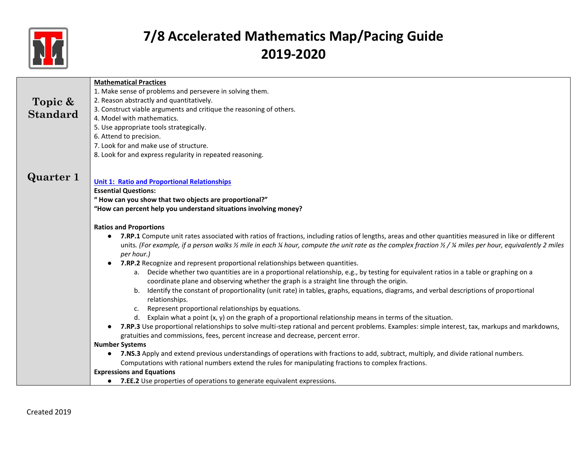

|                  | <b>Mathematical Practices</b>                                                                                                                                                                                                                                                                                                              |
|------------------|--------------------------------------------------------------------------------------------------------------------------------------------------------------------------------------------------------------------------------------------------------------------------------------------------------------------------------------------|
|                  | 1. Make sense of problems and persevere in solving them.                                                                                                                                                                                                                                                                                   |
| Topic &          | 2. Reason abstractly and quantitatively.                                                                                                                                                                                                                                                                                                   |
|                  | 3. Construct viable arguments and critique the reasoning of others.                                                                                                                                                                                                                                                                        |
| <b>Standard</b>  | 4. Model with mathematics.                                                                                                                                                                                                                                                                                                                 |
|                  | 5. Use appropriate tools strategically.                                                                                                                                                                                                                                                                                                    |
|                  | 6. Attend to precision.                                                                                                                                                                                                                                                                                                                    |
|                  | 7. Look for and make use of structure.                                                                                                                                                                                                                                                                                                     |
|                  | 8. Look for and express regularity in repeated reasoning.                                                                                                                                                                                                                                                                                  |
| <b>Quarter 1</b> |                                                                                                                                                                                                                                                                                                                                            |
|                  | <b>Unit 1: Ratio and Proportional Relationships</b>                                                                                                                                                                                                                                                                                        |
|                  | <b>Essential Questions:</b>                                                                                                                                                                                                                                                                                                                |
|                  | "How can you show that two objects are proportional?"                                                                                                                                                                                                                                                                                      |
|                  | "How can percent help you understand situations involving money?                                                                                                                                                                                                                                                                           |
|                  | <b>Ratios and Proportions</b>                                                                                                                                                                                                                                                                                                              |
|                  | • 7.RP.1 Compute unit rates associated with ratios of fractions, including ratios of lengths, areas and other quantities measured in like or different<br>units. (For example, if a person walks % mile in each % hour, compute the unit rate as the complex fraction $\frac{1}{2}$ / % miles per hour, equivalently 2 miles<br>per hour.) |
|                  | 7.RP.2 Recognize and represent proportional relationships between quantities.                                                                                                                                                                                                                                                              |
|                  | a. Decide whether two quantities are in a proportional relationship, e.g., by testing for equivalent ratios in a table or graphing on a                                                                                                                                                                                                    |
|                  | coordinate plane and observing whether the graph is a straight line through the origin.                                                                                                                                                                                                                                                    |
|                  | b. Identify the constant of proportionality (unit rate) in tables, graphs, equations, diagrams, and verbal descriptions of proportional                                                                                                                                                                                                    |
|                  | relationships.                                                                                                                                                                                                                                                                                                                             |
|                  | Represent proportional relationships by equations.<br>c.                                                                                                                                                                                                                                                                                   |
|                  | d. Explain what a point $(x, y)$ on the graph of a proportional relationship means in terms of the situation.                                                                                                                                                                                                                              |
|                  | 7.RP.3 Use proportional relationships to solve multi-step rational and percent problems. Examples: simple interest, tax, markups and markdowns,                                                                                                                                                                                            |
|                  | gratuities and commissions, fees, percent increase and decrease, percent error.                                                                                                                                                                                                                                                            |
|                  | <b>Number Systems</b>                                                                                                                                                                                                                                                                                                                      |
|                  | 7.NS.3 Apply and extend previous understandings of operations with fractions to add, subtract, multiply, and divide rational numbers.                                                                                                                                                                                                      |
|                  | Computations with rational numbers extend the rules for manipulating fractions to complex fractions.                                                                                                                                                                                                                                       |
|                  | <b>Expressions and Equations</b>                                                                                                                                                                                                                                                                                                           |
|                  | • 7.EE.2 Use properties of operations to generate equivalent expressions.                                                                                                                                                                                                                                                                  |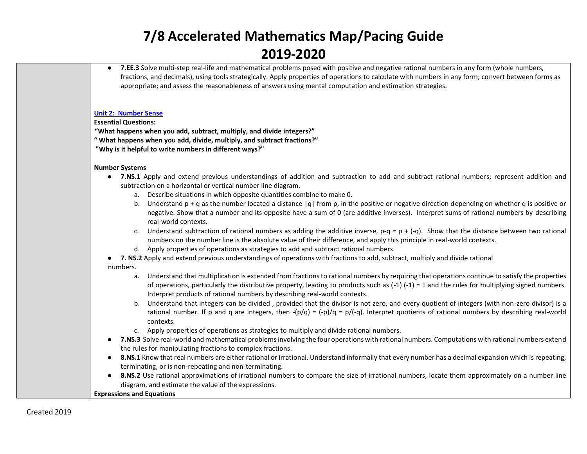● **7.EE.3** Solve multi-step real-life and mathematical problems posed with positive and negative rational numbers in any form (whole numbers, fractions, and decimals), using tools strategically. Apply properties of operations to calculate with numbers in any form; convert between forms as appropriate; and assess the reasonableness of answers using mental computation and estimation strategies.

#### **Unit 2: Number Sense**

**Essential Questions:**

- **"What happens when you add, subtract, multiply, and divide integers?"**
- **" What happens when you add, divide, multiply, and subtract fractions?"**
- **"Why is it helpful to write numbers in different ways?"**

#### **Number Systems**

- **7.NS.1** Apply and extend previous understandings of addition and subtraction to add and subtract rational numbers; represent addition and subtraction on a horizontal or vertical number line diagram.
	- a. Describe situations in which opposite quantities combine to make 0.
	- b. Understand  $p + q$  as the number located a distance  $|q|$  from p, in the positive or negative direction depending on whether q is positive or negative. Show that a number and its opposite have a sum of 0 (are additive inverses). Interpret sums of rational numbers by describing real-world contexts.
	- c. Understand subtraction of rational numbers as adding the additive inverse,  $p-q = p + (-q)$ . Show that the distance between two rational numbers on the number line is the absolute value of their difference, and apply this principle in real-world contexts.
	- d. Apply properties of operations as strategies to add and subtract rational numbers.
- **7. NS.2** Apply and extend previous understandings of operations with fractions to add, subtract, multiply and divide rational

numbers.

- a. Understand that multiplication is extended from fractions to rational numbers by requiring that operations continue to satisfy the properties of operations, particularly the distributive property, leading to products such as  $(-1)$  (-1) = 1 and the rules for multiplying signed numbers. Interpret products of rational numbers by describing real-world contexts.
- b. Understand that integers can be divided , provided that the divisor is not zero, and every quotient of integers (with non-zero divisor) is a rational number. If p and q are integers, then  $-(p/q) = (-p)/q = p/(-q)$ . Interpret quotients of rational numbers by describing real-world contexts.
- c. Apply properties of operations as strategies to multiply and divide rational numbers.
- **7.NS.3** Solve real-world and mathematical problems involving the four operations with rational numbers. Computations with rational numbers extend the rules for manipulating fractions to complex fractions.
- **8.NS.1** Know that real numbers are either rational or irrational. Understand informally that every number has a decimal expansion which is repeating, terminating, or is non-repeating and non-terminating.
- **8.NS.2** Use rational approximations of irrational numbers to compare the size of irrational numbers, locate them approximately on a number line diagram, and estimate the value of the expressions.

#### **Expressions and Equations**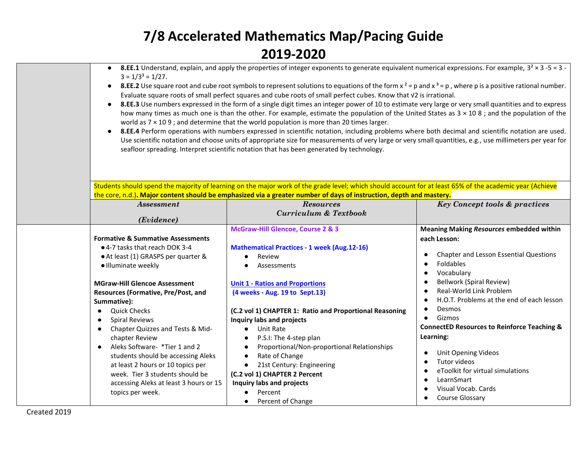| 8.EE.1 Understand, explain, and apply the properties of integer exponents to generate equivalent numerical expressions. For example, $3^2 \times 3 - 5 = 3 - 1$<br>$3 = 1/33 = 1/27$ .<br><b>8.EE.2</b> Use square root and cube root symbols to represent solutions to equations of the form $x^2 = p$ and $x^3 = p$ , where p is a positive rational number.<br>$\bullet$<br>Evaluate square roots of small perfect squares and cube roots of small perfect cubes. Know that V2 is irrational.<br>8.EE.3 Use numbers expressed in the form of a single digit times an integer power of 10 to estimate very large or very small quantities and to express<br>$\bullet$<br>how many times as much one is than the other. For example, estimate the population of the United States as 3 x 10 8; and the population of the<br>world as $7 \times 109$ ; and determine that the world population is more than 20 times larger.<br>8.EE.4 Perform operations with numbers expressed in scientific notation, including problems where both decimal and scientific notation are used.<br>Use scientific notation and choose units of appropriate size for measurements of very large or very small quantities, e.g., use millimeters per year for<br>seafloor spreading. Interpret scientific notation that has been generated by technology.<br>Students should spend the majority of learning on the major work of the grade level; which should account for at least 65% of the academic year (Achieve<br>the core, n.d.). Major content should be emphasized via a greater number of days of instruction, depth and mastery. |                                                                                                                                                                                                                                                                                                                                                                                                                                                                                                                                     |                                                                                                                                                                                                                                                                                                                                                                                                                                                                                                                                                                                                                        |
|-----------------------------------------------------------------------------------------------------------------------------------------------------------------------------------------------------------------------------------------------------------------------------------------------------------------------------------------------------------------------------------------------------------------------------------------------------------------------------------------------------------------------------------------------------------------------------------------------------------------------------------------------------------------------------------------------------------------------------------------------------------------------------------------------------------------------------------------------------------------------------------------------------------------------------------------------------------------------------------------------------------------------------------------------------------------------------------------------------------------------------------------------------------------------------------------------------------------------------------------------------------------------------------------------------------------------------------------------------------------------------------------------------------------------------------------------------------------------------------------------------------------------------------------------------------------------------------------------------------------------------|-------------------------------------------------------------------------------------------------------------------------------------------------------------------------------------------------------------------------------------------------------------------------------------------------------------------------------------------------------------------------------------------------------------------------------------------------------------------------------------------------------------------------------------|------------------------------------------------------------------------------------------------------------------------------------------------------------------------------------------------------------------------------------------------------------------------------------------------------------------------------------------------------------------------------------------------------------------------------------------------------------------------------------------------------------------------------------------------------------------------------------------------------------------------|
| <b>Assessment</b><br>(Evidence)                                                                                                                                                                                                                                                                                                                                                                                                                                                                                                                                                                                                                                                                                                                                                                                                                                                                                                                                                                                                                                                                                                                                                                                                                                                                                                                                                                                                                                                                                                                                                                                             | <b>Resources</b><br><b>Curriculum &amp; Textbook</b>                                                                                                                                                                                                                                                                                                                                                                                                                                                                                | <b>Key Concept tools &amp; practices</b>                                                                                                                                                                                                                                                                                                                                                                                                                                                                                                                                                                               |
| <b>Formative &amp; Summative Assessments</b><br>● 4-7 tasks that reach DOK 3-4<br>• At least (1) GRASPS per quarter &<br>· Illuminate weekly<br><b>MGraw-Hill Glencoe Assessment</b><br>Resources (Formative, Pre/Post, and<br>Summative):<br><b>Quick Checks</b><br>$\bullet$<br><b>Spiral Reviews</b><br>$\bullet$<br>Chapter Quizzes and Tests & Mid-<br>$\bullet$<br>chapter Review<br>Aleks Software- *Tier 1 and 2<br>$\bullet$<br>students should be accessing Aleks<br>at least 2 hours or 10 topics per<br>week. Tier 3 students should be<br>accessing Aleks at least 3 hours or 15<br>topics per week.                                                                                                                                                                                                                                                                                                                                                                                                                                                                                                                                                                                                                                                                                                                                                                                                                                                                                                                                                                                                           | McGraw-Hill Glencoe, Course 2 & 3<br><b>Mathematical Practices - 1 week (Aug.12-16)</b><br>Review<br>Assessments<br><b>Unit 1 - Ratios and Proportions</b><br>(4 weeks - Aug. 19 to Sept.13)<br>(C.2 vol 1) CHAPTER 1: Ratio and Proportional Reasoning<br>Inquiry labs and projects<br><b>Unit Rate</b><br>P.S.I: The 4-step plan<br>Proportional/Non-proportional Relationships<br>Rate of Change<br>$\bullet$<br>21st Century: Engineering<br>$\bullet$<br>(C.2 vol 1) CHAPTER 2 Percent<br>Inquiry labs and projects<br>Percent | <b>Meaning Making Resources embedded within</b><br>each Lesson:<br>Chapter and Lesson Essential Questions<br>$\bullet$<br>Foldables<br>$\bullet$<br>Vocabulary<br>$\bullet$<br><b>Bellwork (Spiral Review)</b><br>$\bullet$<br>Real-World Link Problem<br>$\bullet$<br>H.O.T. Problems at the end of each lesson<br>$\bullet$<br>Desmos<br>$\bullet$<br>Gizmos<br>$\bullet$<br><b>ConnectED Resources to Reinforce Teaching &amp;</b><br>Learning:<br>Unit Opening Videos<br>$\bullet$<br>Tutor videos<br>$\bullet$<br>eToolkit for virtual simulations<br>$\bullet$<br>LearnSmart<br>$\bullet$<br>Visual Vocab, Cards |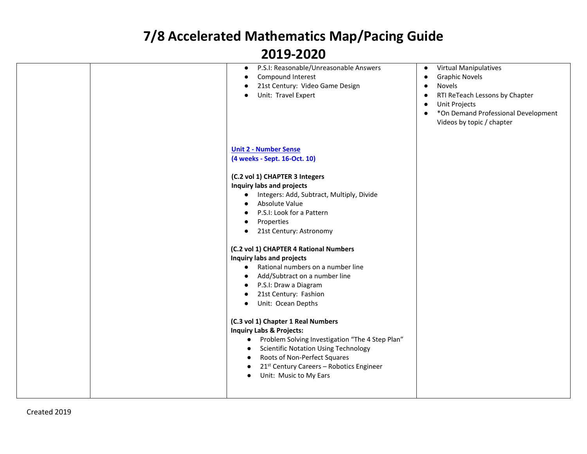|  | P.S.I: Reasonable/Unreasonable Answers<br>$\bullet$<br>Compound Interest<br>$\bullet$<br>21st Century: Video Game Design<br>Unit: Travel Expert<br>$\bullet$                                                                                                                                                                                                                                                                                                                                                                                                                                                                                                                                                                                                                                                                                                                                                 | <b>Virtual Manipulatives</b><br>$\bullet$<br><b>Graphic Novels</b><br>$\bullet$<br>Novels<br>$\bullet$<br>RTI ReTeach Lessons by Chapter<br>$\bullet$<br>Unit Projects<br>$\bullet$<br>*On Demand Professional Development<br>$\bullet$<br>Videos by topic / chapter |
|--|--------------------------------------------------------------------------------------------------------------------------------------------------------------------------------------------------------------------------------------------------------------------------------------------------------------------------------------------------------------------------------------------------------------------------------------------------------------------------------------------------------------------------------------------------------------------------------------------------------------------------------------------------------------------------------------------------------------------------------------------------------------------------------------------------------------------------------------------------------------------------------------------------------------|----------------------------------------------------------------------------------------------------------------------------------------------------------------------------------------------------------------------------------------------------------------------|
|  | <b>Unit 2 - Number Sense</b><br>(4 weeks - Sept. 16-Oct. 10)                                                                                                                                                                                                                                                                                                                                                                                                                                                                                                                                                                                                                                                                                                                                                                                                                                                 |                                                                                                                                                                                                                                                                      |
|  | (C.2 vol 1) CHAPTER 3 Integers<br>Inquiry labs and projects<br>Integers: Add, Subtract, Multiply, Divide<br>$\bullet$<br>Absolute Value<br>$\bullet$<br>P.S.I: Look for a Pattern<br>Properties<br>$\bullet$<br>21st Century: Astronomy<br>$\bullet$<br>(C.2 vol 1) CHAPTER 4 Rational Numbers<br>Inquiry labs and projects<br>Rational numbers on a number line<br>$\bullet$<br>Add/Subtract on a number line<br>$\bullet$<br>P.S.I: Draw a Diagram<br>$\bullet$<br>21st Century: Fashion<br>$\bullet$<br>Unit: Ocean Depths<br>$\bullet$<br>(C.3 vol 1) Chapter 1 Real Numbers<br><b>Inquiry Labs &amp; Projects:</b><br>Problem Solving Investigation "The 4 Step Plan"<br>$\bullet$<br><b>Scientific Notation Using Technology</b><br>$\bullet$<br>Roots of Non-Perfect Squares<br>$\bullet$<br>21 <sup>st</sup> Century Careers - Robotics Engineer<br>$\bullet$<br>Unit: Music to My Ears<br>$\bullet$ |                                                                                                                                                                                                                                                                      |
|  |                                                                                                                                                                                                                                                                                                                                                                                                                                                                                                                                                                                                                                                                                                                                                                                                                                                                                                              |                                                                                                                                                                                                                                                                      |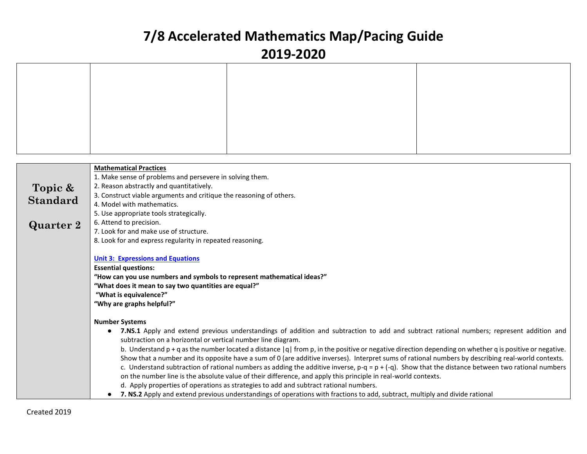|                 | <b>Mathematical Practices</b>                                                                                                                                                                            |
|-----------------|----------------------------------------------------------------------------------------------------------------------------------------------------------------------------------------------------------|
|                 | 1. Make sense of problems and persevere in solving them.                                                                                                                                                 |
| Topic &         | 2. Reason abstractly and quantitatively.                                                                                                                                                                 |
| <b>Standard</b> | 3. Construct viable arguments and critique the reasoning of others.                                                                                                                                      |
|                 | 4. Model with mathematics.                                                                                                                                                                               |
|                 | 5. Use appropriate tools strategically.                                                                                                                                                                  |
| Quarter 2       | 6. Attend to precision.                                                                                                                                                                                  |
|                 | 7. Look for and make use of structure.                                                                                                                                                                   |
|                 | 8. Look for and express regularity in repeated reasoning.                                                                                                                                                |
|                 |                                                                                                                                                                                                          |
|                 | <b>Unit 3: Expressions and Equations</b>                                                                                                                                                                 |
|                 | <b>Essential questions:</b>                                                                                                                                                                              |
|                 | "How can you use numbers and symbols to represent mathematical ideas?"                                                                                                                                   |
|                 | "What does it mean to say two quantities are equal?"                                                                                                                                                     |
|                 | "What is equivalence?"                                                                                                                                                                                   |
|                 | "Why are graphs helpful?"                                                                                                                                                                                |
|                 | <b>Number Systems</b>                                                                                                                                                                                    |
|                 | 7.NS.1 Apply and extend previous understandings of addition and subtraction to add and subtract rational numbers; represent addition and<br>subtraction on a horizontal or vertical number line diagram. |
|                 | b. Understand $p + q$ as the number located a distance  q  from p, in the positive or negative direction depending on whether q is positive or negative.                                                 |
|                 | Show that a number and its opposite have a sum of 0 (are additive inverses). Interpret sums of rational numbers by describing real-world contexts.                                                       |
|                 | c. Understand subtraction of rational numbers as adding the additive inverse, $p-q = p + (-q)$ . Show that the distance between two rational numbers                                                     |
|                 | on the number line is the absolute value of their difference, and apply this principle in real-world contexts.                                                                                           |
|                 | d. Apply properties of operations as strategies to add and subtract rational numbers.                                                                                                                    |
|                 | 7. NS.2 Apply and extend previous understandings of operations with fractions to add, subtract, multiply and divide rational<br>$\bullet$                                                                |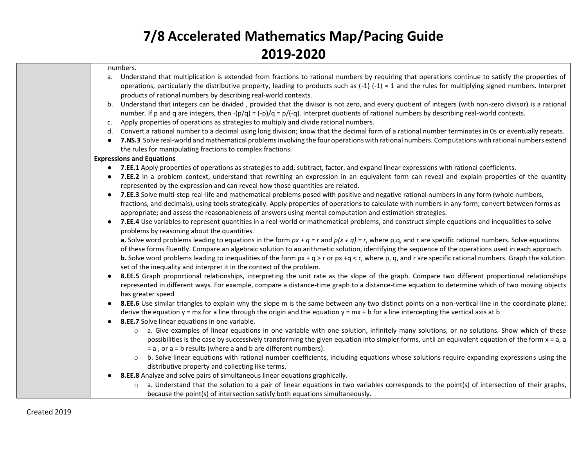#### numbers.

- a. Understand that multiplication is extended from fractions to rational numbers by requiring that operations continue to satisfy the properties of operations, particularly the distributive property, leading to products such as  $(-1)$   $(-1)$  = 1 and the rules for multiplying signed numbers. Interpret products of rational numbers by describing real-world contexts.
- b. Understand that integers can be divided , provided that the divisor is not zero, and every quotient of integers (with non-zero divisor) is a rational number. If p and q are integers, then  $-(p/q) = (-p)/q = p/(-q)$ . Interpret quotients of rational numbers by describing real-world contexts.
- c. Apply properties of operations as strategies to multiply and divide rational numbers.
- d. Convert a rational number to a decimal using long division; know that the decimal form of a rational number terminates in 0s or eventually repeats.
- **7.NS.3** Solve real-world and mathematical problems involving the four operations with rational numbers. Computations with rational numbers extend the rules for manipulating fractions to complex fractions.

#### **Expressions and Equations**

- **7.EE.1** Apply properties of operations as strategies to add, subtract, factor, and expand linear expressions with rational coefficients.
- **7.EE.2** In a problem context, understand that rewriting an expression in an equivalent form can reveal and explain properties of the quantity represented by the expression and can reveal how those quantities are related.
- **7.EE.3** Solve multi-step real-life and mathematical problems posed with positive and negative rational numbers in any form (whole numbers, fractions, and decimals), using tools strategically. Apply properties of operations to calculate with numbers in any form; convert between forms as appropriate; and assess the reasonableness of answers using mental computation and estimation strategies.
- **7.EE.4** Use variables to represent quantities in a real-world or mathematical problems, and construct simple equations and inequalities to solve problems by reasoning about the quantities.

**a.** Solve word problems leading to equations in the form *px + q = r* and *p(x + q) = r*, where p,q, and r are specific rational numbers. Solve equations of these forms fluently. Compare an algebraic solution to an arithmetic solution, identifying the sequence of the operations used in each approach. **b.** Solve word problems leading to inequalities of the form px + q > r or px +q < r, where p, q, and r are specific rational numbers. Graph the solution set of the inequality and interpret it in the context of the problem.

- **8.EE.5** Graph proportional relationships, interpreting the unit rate as the slope of the graph. Compare two different proportional relationships represented in different ways. For example, compare a distance-time graph to a distance-time equation to determine which of two moving objects has greater speed
- **8.EE.6** Use similar triangles to explain why the slope m is the same between any two distinct points on a non-vertical line in the coordinate plane; derive the equation  $y = mx$  for a line through the origin and the equation  $y = mx + b$  for a line intercepting the vertical axis at b
- **8.EE.7** Solve linear equations in one variable.
	- $\circ$  a. Give examples of linear equations in one variable with one solution, infinitely many solutions, or no solutions. Show which of these possibilities is the case by successively transforming the given equation into simpler forms, until an equivalent equation of the form  $x = a$ , a = a , or a = b results (where a and b are different numbers).
	- $\circ$  b. Solve linear equations with rational number coefficients, including equations whose solutions require expanding expressions using the distributive property and collecting like terms.
- **8.EE.8** Analyze and solve pairs of simultaneous linear equations graphically.
	- $\circ$  a. Understand that the solution to a pair of linear equations in two variables corresponds to the point(s) of intersection of their graphs, because the point(s) of intersection satisfy both equations simultaneously.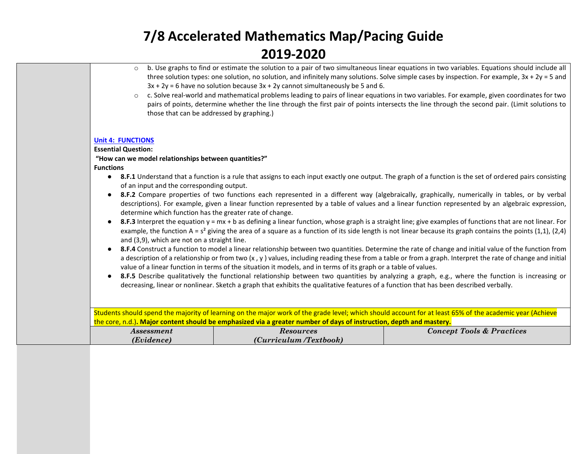|                                                                            | Assessment<br>(Evidence)                             | <b>Resources</b><br>(Curriculum /Textbook)                                                                                                                                                                                                                                                                            | <b>Concept Tools &amp; Practices</b>                                                                                                                                                                                                                                                                                                                                                                                                                                                                                                                                                                                                                                                                                                                                                                                                                                                                                                                       |
|----------------------------------------------------------------------------|------------------------------------------------------|-----------------------------------------------------------------------------------------------------------------------------------------------------------------------------------------------------------------------------------------------------------------------------------------------------------------------|------------------------------------------------------------------------------------------------------------------------------------------------------------------------------------------------------------------------------------------------------------------------------------------------------------------------------------------------------------------------------------------------------------------------------------------------------------------------------------------------------------------------------------------------------------------------------------------------------------------------------------------------------------------------------------------------------------------------------------------------------------------------------------------------------------------------------------------------------------------------------------------------------------------------------------------------------------|
|                                                                            |                                                      | the core, n.d.). Major content should be emphasized via a greater number of days of instruction, depth and mastery.                                                                                                                                                                                                   | Students should spend the majority of learning on the major work of the grade level; which should account for at least 65% of the academic year (Achieve                                                                                                                                                                                                                                                                                                                                                                                                                                                                                                                                                                                                                                                                                                                                                                                                   |
|                                                                            | and (3,9), which are not on a straight line.         | determine which function has the greater rate of change.<br>value of a linear function in terms of the situation it models, and in terms of its graph or a table of values.<br>decreasing, linear or nonlinear. Sketch a graph that exhibits the qualitative features of a function that has been described verbally. | descriptions). For example, given a linear function represented by a table of values and a linear function represented by an algebraic expression,<br>8.F.3 Interpret the equation y = mx + b as defining a linear function, whose graph is a straight line; give examples of functions that are not linear. For<br>example, the function $A = s^2$ giving the area of a square as a function of its side length is not linear because its graph contains the points (1,1), (2,4)<br>8.F.4 Construct a function to model a linear relationship between two quantities. Determine the rate of change and initial value of the function from<br>a description of a relationship or from two (x, y) values, including reading these from a table or from a graph. Interpret the rate of change and initial<br>8.F.5 Describe qualitatively the functional relationship between two quantities by analyzing a graph, e.g., where the function is increasing or |
| $\bullet$                                                                  | of an input and the corresponding output.            |                                                                                                                                                                                                                                                                                                                       | 8.F.1 Understand that a function is a rule that assigns to each input exactly one output. The graph of a function is the set of ordered pairs consisting<br>8.F.2 Compare properties of two functions each represented in a different way (algebraically, graphically, numerically in tables, or by verbal                                                                                                                                                                                                                                                                                                                                                                                                                                                                                                                                                                                                                                                 |
| <b>Unit 4: FUNCTIONS</b><br><b>Essential Question:</b><br><b>Functions</b> | "How can we model relationships between quantities?" |                                                                                                                                                                                                                                                                                                                       |                                                                                                                                                                                                                                                                                                                                                                                                                                                                                                                                                                                                                                                                                                                                                                                                                                                                                                                                                            |
| $\circ$                                                                    | those that can be addressed by graphing.)            | $3x + 2y = 6$ have no solution because $3x + 2y$ cannot simultaneously be 5 and 6.                                                                                                                                                                                                                                    | b. Use graphs to find or estimate the solution to a pair of two simultaneous linear equations in two variables. Equations should include all<br>three solution types: one solution, no solution, and infinitely many solutions. Solve simple cases by inspection. For example, $3x + 2y = 5$ and<br>c. Solve real-world and mathematical problems leading to pairs of linear equations in two variables. For example, given coordinates for two<br>pairs of points, determine whether the line through the first pair of points intersects the line through the second pair. (Limit solutions to                                                                                                                                                                                                                                                                                                                                                           |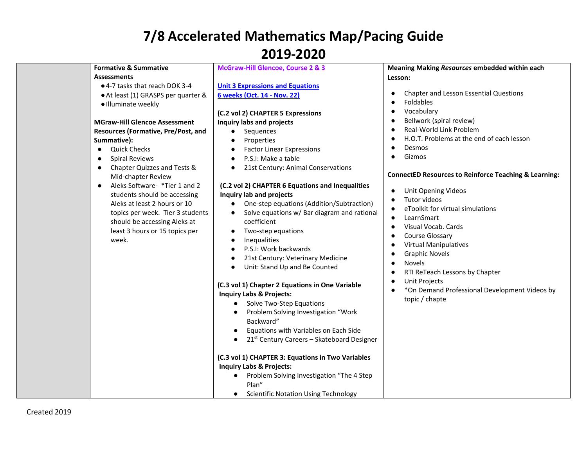| ムリエン–ムリムリ                                                                                                                                                                                                                 |                                                                                                                                                                                                                                                                                                                                                                                                                                                                                                                                                                                                                                                                                                                                                                         |                                                                                                                                                                                                                                                                                                                                                                                                                                               |  |
|---------------------------------------------------------------------------------------------------------------------------------------------------------------------------------------------------------------------------|-------------------------------------------------------------------------------------------------------------------------------------------------------------------------------------------------------------------------------------------------------------------------------------------------------------------------------------------------------------------------------------------------------------------------------------------------------------------------------------------------------------------------------------------------------------------------------------------------------------------------------------------------------------------------------------------------------------------------------------------------------------------------|-----------------------------------------------------------------------------------------------------------------------------------------------------------------------------------------------------------------------------------------------------------------------------------------------------------------------------------------------------------------------------------------------------------------------------------------------|--|
| <b>Formative &amp; Summative</b>                                                                                                                                                                                          | McGraw-Hill Glencoe, Course 2 & 3                                                                                                                                                                                                                                                                                                                                                                                                                                                                                                                                                                                                                                                                                                                                       | Meaning Making Resources embedded within each                                                                                                                                                                                                                                                                                                                                                                                                 |  |
| <b>Assessments</b>                                                                                                                                                                                                        |                                                                                                                                                                                                                                                                                                                                                                                                                                                                                                                                                                                                                                                                                                                                                                         | Lesson:                                                                                                                                                                                                                                                                                                                                                                                                                                       |  |
| ● 4-7 tasks that reach DOK 3-4                                                                                                                                                                                            | <b>Unit 3 Expressions and Equations</b>                                                                                                                                                                                                                                                                                                                                                                                                                                                                                                                                                                                                                                                                                                                                 |                                                                                                                                                                                                                                                                                                                                                                                                                                               |  |
| • At least (1) GRASPS per quarter &                                                                                                                                                                                       | 6 weeks (Oct. 14 - Nov. 22)                                                                                                                                                                                                                                                                                                                                                                                                                                                                                                                                                                                                                                                                                                                                             | Chapter and Lesson Essential Questions                                                                                                                                                                                                                                                                                                                                                                                                        |  |
| · Illuminate weekly                                                                                                                                                                                                       |                                                                                                                                                                                                                                                                                                                                                                                                                                                                                                                                                                                                                                                                                                                                                                         | <b>Foldables</b>                                                                                                                                                                                                                                                                                                                                                                                                                              |  |
|                                                                                                                                                                                                                           | (C.2 vol 2) CHAPTER 5 Expressions                                                                                                                                                                                                                                                                                                                                                                                                                                                                                                                                                                                                                                                                                                                                       | Vocabulary                                                                                                                                                                                                                                                                                                                                                                                                                                    |  |
| <b>MGraw-Hill Glencoe Assessment</b>                                                                                                                                                                                      | Inquiry labs and projects                                                                                                                                                                                                                                                                                                                                                                                                                                                                                                                                                                                                                                                                                                                                               | Bellwork (spiral review)<br>$\bullet$                                                                                                                                                                                                                                                                                                                                                                                                         |  |
| Resources (Formative, Pre/Post, and                                                                                                                                                                                       | Sequences<br>$\bullet$                                                                                                                                                                                                                                                                                                                                                                                                                                                                                                                                                                                                                                                                                                                                                  | Real-World Link Problem                                                                                                                                                                                                                                                                                                                                                                                                                       |  |
| Summative):                                                                                                                                                                                                               | Properties<br>$\bullet$                                                                                                                                                                                                                                                                                                                                                                                                                                                                                                                                                                                                                                                                                                                                                 | H.O.T. Problems at the end of each lesson                                                                                                                                                                                                                                                                                                                                                                                                     |  |
| <b>Quick Checks</b><br>$\bullet$                                                                                                                                                                                          | <b>Factor Linear Expressions</b><br>$\bullet$                                                                                                                                                                                                                                                                                                                                                                                                                                                                                                                                                                                                                                                                                                                           | Desmos                                                                                                                                                                                                                                                                                                                                                                                                                                        |  |
| <b>Spiral Reviews</b><br>$\bullet$                                                                                                                                                                                        | P.S.I: Make a table<br>$\bullet$                                                                                                                                                                                                                                                                                                                                                                                                                                                                                                                                                                                                                                                                                                                                        | Gizmos                                                                                                                                                                                                                                                                                                                                                                                                                                        |  |
| Chapter Quizzes and Tests &<br>$\bullet$                                                                                                                                                                                  | 21st Century: Animal Conservations<br>$\bullet$                                                                                                                                                                                                                                                                                                                                                                                                                                                                                                                                                                                                                                                                                                                         |                                                                                                                                                                                                                                                                                                                                                                                                                                               |  |
| Mid-chapter Review                                                                                                                                                                                                        |                                                                                                                                                                                                                                                                                                                                                                                                                                                                                                                                                                                                                                                                                                                                                                         | <b>ConnectED Resources to Reinforce Teaching &amp; Learning:</b>                                                                                                                                                                                                                                                                                                                                                                              |  |
| Aleks Software- *Tier 1 and 2<br>$\bullet$<br>students should be accessing<br>Aleks at least 2 hours or 10<br>topics per week. Tier 3 students<br>should be accessing Aleks at<br>least 3 hours or 15 topics per<br>week. | (C.2 vol 2) CHAPTER 6 Equations and Inequalities<br>Inquiry lab and projects<br>One-step equations (Addition/Subtraction)<br>$\bullet$<br>Solve equations w/ Bar diagram and rational<br>$\bullet$<br>coefficient<br>Two-step equations<br>$\bullet$<br>Inequalities<br>$\bullet$<br>P.S.I: Work backwards<br>$\bullet$<br>21st Century: Veterinary Medicine<br>Unit: Stand Up and Be Counted<br>$\bullet$<br>(C.3 vol 1) Chapter 2 Equations in One Variable<br><b>Inquiry Labs &amp; Projects:</b><br>Solve Two-Step Equations<br>Problem Solving Investigation "Work<br>Backward"<br>Equations with Variables on Each Side<br>21st Century Careers - Skateboard Designer<br>(C.3 vol 1) CHAPTER 3: Equations in Two Variables<br><b>Inquiry Labs &amp; Projects:</b> | Unit Opening Videos<br>$\bullet$<br>Tutor videos<br>$\bullet$<br>eToolkit for virtual simulations<br>$\bullet$<br>LearnSmart<br>$\bullet$<br>Visual Vocab. Cards<br>$\bullet$<br>Course Glossary<br>$\bullet$<br><b>Virtual Manipulatives</b><br>$\bullet$<br><b>Graphic Novels</b><br>$\bullet$<br>Novels<br>$\bullet$<br>RTI ReTeach Lessons by Chapter<br>Unit Projects<br>*On Demand Professional Development Videos by<br>topic / chapte |  |
|                                                                                                                                                                                                                           | Problem Solving Investigation "The 4 Step<br>Plan"<br><b>Scientific Notation Using Technology</b><br>$\bullet$                                                                                                                                                                                                                                                                                                                                                                                                                                                                                                                                                                                                                                                          |                                                                                                                                                                                                                                                                                                                                                                                                                                               |  |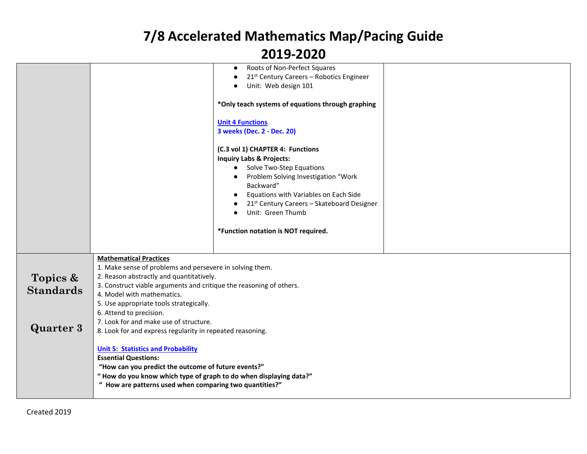|                                                  |                                                                                                                                                                                                                                                                                                                                                                                                                         | Roots of Non-Perfect Squares<br>21 <sup>st</sup> Century Careers - Robotics Engineer<br>Unit: Web design 101<br>*Only teach systems of equations through graphing<br><b>Unit 4 Functions</b><br>3 weeks (Dec. 2 - Dec. 20)<br>(C.3 vol 1) CHAPTER 4: Functions<br><b>Inquiry Labs &amp; Projects:</b><br>Solve Two-Step Equations<br>Problem Solving Investigation "Work<br>Backward"<br>Equations with Variables on Each Side<br>21 <sup>st</sup> Century Careers - Skateboard Designer<br>Unit: Green Thumb<br>*Function notation is NOT required. |  |
|--------------------------------------------------|-------------------------------------------------------------------------------------------------------------------------------------------------------------------------------------------------------------------------------------------------------------------------------------------------------------------------------------------------------------------------------------------------------------------------|------------------------------------------------------------------------------------------------------------------------------------------------------------------------------------------------------------------------------------------------------------------------------------------------------------------------------------------------------------------------------------------------------------------------------------------------------------------------------------------------------------------------------------------------------|--|
| Topics &<br><b>Standards</b><br><b>Quarter 3</b> | <b>Mathematical Practices</b><br>1. Make sense of problems and persevere in solving them.<br>2. Reason abstractly and quantitatively.<br>3. Construct viable arguments and critique the reasoning of others.<br>4. Model with mathematics.<br>5. Use appropriate tools strategically.<br>6. Attend to precision.<br>7. Look for and make use of structure.<br>8. Look for and express regularity in repeated reasoning. |                                                                                                                                                                                                                                                                                                                                                                                                                                                                                                                                                      |  |
|                                                  | <b>Unit 5: Statistics and Probability</b><br><b>Essential Questions:</b><br>"How can you predict the outcome of future events?"<br>"How do you know which type of graph to do when displaying data?"<br>" How are patterns used when comparing two quantities?"                                                                                                                                                         |                                                                                                                                                                                                                                                                                                                                                                                                                                                                                                                                                      |  |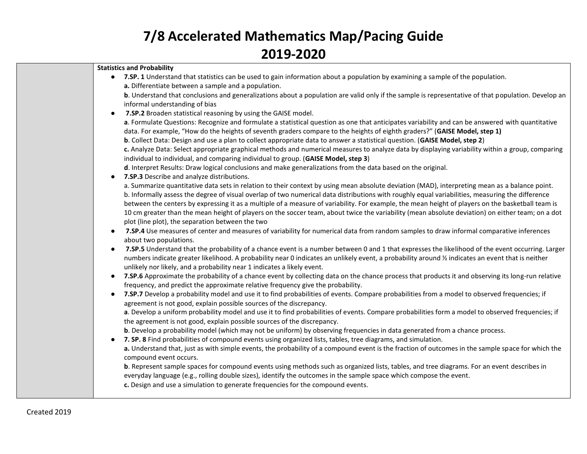| <b>Statistics and Probability</b>                                                                                                                                                                                                                                                                     |
|-------------------------------------------------------------------------------------------------------------------------------------------------------------------------------------------------------------------------------------------------------------------------------------------------------|
| • 7.SP. 1 Understand that statistics can be used to gain information about a population by examining a sample of the population.<br>a. Differentiate between a sample and a population.                                                                                                               |
| b. Understand that conclusions and generalizations about a population are valid only if the sample is representative of that population. Develop an                                                                                                                                                   |
| informal understanding of bias                                                                                                                                                                                                                                                                        |
| 7.SP.2 Broaden statistical reasoning by using the GAISE model.                                                                                                                                                                                                                                        |
| a. Formulate Questions: Recognize and formulate a statistical question as one that anticipates variability and can be answered with quantitative                                                                                                                                                      |
| data. For example, "How do the heights of seventh graders compare to the heights of eighth graders?" (GAISE Model, step 1)                                                                                                                                                                            |
| b. Collect Data: Design and use a plan to collect appropriate data to answer a statistical question. (GAISE Model, step 2)                                                                                                                                                                            |
| c. Analyze Data: Select appropriate graphical methods and numerical measures to analyze data by displaying variability within a group, comparing                                                                                                                                                      |
| individual to individual, and comparing individual to group. (GAISE Model, step 3)                                                                                                                                                                                                                    |
| d. Interpret Results: Draw logical conclusions and make generalizations from the data based on the original.                                                                                                                                                                                          |
| 7.SP.3 Describe and analyze distributions.                                                                                                                                                                                                                                                            |
| a. Summarize quantitative data sets in relation to their context by using mean absolute deviation (MAD), interpreting mean as a balance point.                                                                                                                                                        |
| b. Informally assess the degree of visual overlap of two numerical data distributions with roughly equal variabilities, measuring the difference                                                                                                                                                      |
| between the centers by expressing it as a multiple of a measure of variability. For example, the mean height of players on the basketball team is<br>10 cm greater than the mean height of players on the soccer team, about twice the variability (mean absolute deviation) on either team; on a dot |
| plot (line plot), the separation between the two                                                                                                                                                                                                                                                      |
| 7.SP.4 Use measures of center and measures of variability for numerical data from random samples to draw informal comparative inferences                                                                                                                                                              |
| about two populations.                                                                                                                                                                                                                                                                                |
| 7.SP.5 Understand that the probability of a chance event is a number between 0 and 1 that expresses the likelihood of the event occurring. Larger                                                                                                                                                     |
| numbers indicate greater likelihood. A probability near 0 indicates an unlikely event, a probability around 1/2 indicates an event that is neither                                                                                                                                                    |
| unlikely nor likely, and a probability near 1 indicates a likely event.                                                                                                                                                                                                                               |
| 7.SP.6 Approximate the probability of a chance event by collecting data on the chance process that products it and observing its long-run relative                                                                                                                                                    |
| frequency, and predict the approximate relative frequency give the probability.                                                                                                                                                                                                                       |
| 7.SP.7 Develop a probability model and use it to find probabilities of events. Compare probabilities from a model to observed frequencies; if                                                                                                                                                         |
| agreement is not good, explain possible sources of the discrepancy.                                                                                                                                                                                                                                   |
| a. Develop a uniform probability model and use it to find probabilities of events. Compare probabilities form a model to observed frequencies; if                                                                                                                                                     |
| the agreement is not good, explain possible sources of the discrepancy.                                                                                                                                                                                                                               |
| b. Develop a probability model (which may not be uniform) by observing frequencies in data generated from a chance process.<br>7. SP. 8 Find probabilities of compound events using organized lists, tables, tree diagrams, and simulation.                                                           |
| a. Understand that, just as with simple events, the probability of a compound event is the fraction of outcomes in the sample space for which the                                                                                                                                                     |
| compound event occurs.                                                                                                                                                                                                                                                                                |
| b. Represent sample spaces for compound events using methods such as organized lists, tables, and tree diagrams. For an event describes in                                                                                                                                                            |
| everyday language (e.g., rolling double sizes), identify the outcomes in the sample space which compose the event.                                                                                                                                                                                    |
| c. Design and use a simulation to generate frequencies for the compound events.                                                                                                                                                                                                                       |
|                                                                                                                                                                                                                                                                                                       |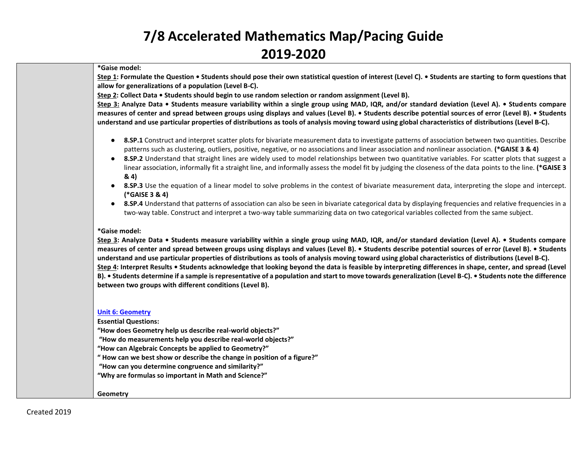#### **\*Gaise model:**

**Step 1: Formulate the Question • Students should pose their own statistical question of interest (Level C). • Students are starting to form questions that allow for generalizations of a population (Level B-C).** 

**Step 2: Collect Data • Students should begin to use random selection or random assignment (Level B).** 

**Step 3: Analyze Data • Students measure variability within a single group using MAD, IQR, and/or standard deviation (Level A). • Students compare measures of center and spread between groups using displays and values (Level B). • Students describe potential sources of error (Level B). • Students understand and use particular properties of distributions as tools of analysis moving toward using global characteristics of distributions (Level B-C).**

- **8.SP.1** Construct and interpret scatter plots for bivariate measurement data to investigate patterns of association between two quantities. Describe patterns such as clustering, outliers, positive, negative, or no associations and linear association and nonlinear association. **(\*GAISE 3 & 4)**
- **8.SP.2** Understand that straight lines are widely used to model relationships between two quantitative variables. For scatter plots that suggest a linear association, informally fit a straight line, and informally assess the model fit by judging the closeness of the data points to the line. **(\*GAISE 3 & 4)**
- **8.SP.3** Use the equation of a linear model to solve problems in the contest of bivariate measurement data, interpreting the slope and intercept. **(\*GAISE 3 & 4)**
- **8.SP.4** Understand that patterns of association can also be seen in bivariate categorical data by displaying frequencies and relative frequencies in a two-way table. Construct and interpret a two-way table summarizing data on two categorical variables collected from the same subject.

#### **\*Gaise model:**

**Step 3: Analyze Data • Students measure variability within a single group using MAD, IQR, and/or standard deviation (Level A). • Students compare measures of center and spread between groups using displays and values (Level B). • Students describe potential sources of error (Level B). • Students understand and use particular properties of distributions as tools of analysis moving toward using global characteristics of distributions (Level B-C). Step 4: Interpret Results • Students acknowledge that looking beyond the data is feasible by interpreting differences in shape, center, and spread (Level B). • Students determine if a sample is representative of a population and start to move towards generalization (Level B-C). • Students note the difference between two groups with different conditions (Level B).** 

#### **Unit 6: Geometry**

**Essential Questions:**

**"How does Geometry help us describe real-world objects?"**

**"How do measurements help you describe real-world objects?"**

**"How can Algebraic Concepts be applied to Geometry?"**

**" How can we best show or describe the change in position of a figure?"**

**"How can you determine congruence and similarity?"**

**"Why are formulas so important in Math and Science?"**

#### **Geometry**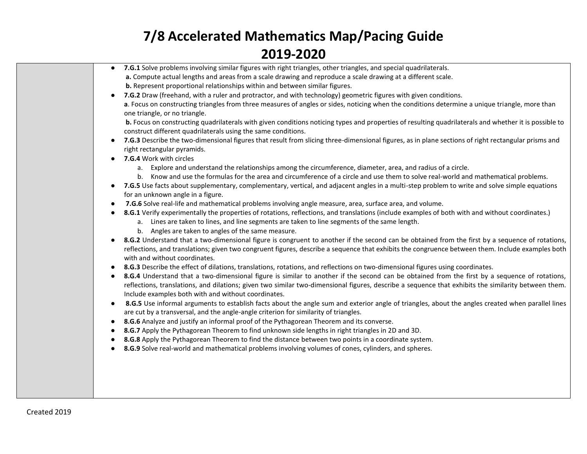| 7.G.1 Solve problems involving similar figures with right triangles, other triangles, and special quadrilaterals.<br>$\bullet$                                                                                                                                                                                                                                           |  |
|--------------------------------------------------------------------------------------------------------------------------------------------------------------------------------------------------------------------------------------------------------------------------------------------------------------------------------------------------------------------------|--|
| a. Compute actual lengths and areas from a scale drawing and reproduce a scale drawing at a different scale.                                                                                                                                                                                                                                                             |  |
| b. Represent proportional relationships within and between similar figures.                                                                                                                                                                                                                                                                                              |  |
| 7.G.2 Draw (freehand, with a ruler and protractor, and with technology) geometric figures with given conditions.                                                                                                                                                                                                                                                         |  |
| a. Focus on constructing triangles from three measures of angles or sides, noticing when the conditions determine a unique triangle, more than<br>one triangle, or no triangle.                                                                                                                                                                                          |  |
| b. Focus on constructing quadrilaterals with given conditions noticing types and properties of resulting quadrilaterals and whether it is possible to<br>construct different quadrilaterals using the same conditions.                                                                                                                                                   |  |
| 7.G.3 Describe the two-dimensional figures that result from slicing three-dimensional figures, as in plane sections of right rectangular prisms and<br>right rectangular pyramids.                                                                                                                                                                                       |  |
| 7.G.4 Work with circles                                                                                                                                                                                                                                                                                                                                                  |  |
| a. Explore and understand the relationships among the circumference, diameter, area, and radius of a circle.                                                                                                                                                                                                                                                             |  |
| b. Know and use the formulas for the area and circumference of a circle and use them to solve real-world and mathematical problems.<br>7.G.5 Use facts about supplementary, complementary, vertical, and adjacent angles in a multi-step problem to write and solve simple equations<br>for an unknown angle in a figure.                                                |  |
| 7.G.6 Solve real-life and mathematical problems involving angle measure, area, surface area, and volume.                                                                                                                                                                                                                                                                 |  |
| 8.G.1 Verify experimentally the properties of rotations, reflections, and translations (include examples of both with and without coordinates.)                                                                                                                                                                                                                          |  |
| a. Lines are taken to lines, and line segments are taken to line segments of the same length.                                                                                                                                                                                                                                                                            |  |
| b. Angles are taken to angles of the same measure.                                                                                                                                                                                                                                                                                                                       |  |
| 8.G.2 Understand that a two-dimensional figure is congruent to another if the second can be obtained from the first by a sequence of rotations,<br>reflections, and translations; given two congruent figures, describe a sequence that exhibits the congruence between them. Include examples both<br>with and without coordinates.                                     |  |
| 8.G.3 Describe the effect of dilations, translations, rotations, and reflections on two-dimensional figures using coordinates.                                                                                                                                                                                                                                           |  |
| 8.G.4 Understand that a two-dimensional figure is similar to another if the second can be obtained from the first by a sequence of rotations,<br>$\bullet$<br>reflections, translations, and dilations; given two similar two-dimensional figures, describe a sequence that exhibits the similarity between them.<br>Include examples both with and without coordinates. |  |
| 8.G.5 Use informal arguments to establish facts about the angle sum and exterior angle of triangles, about the angles created when parallel lines<br>$\bullet$                                                                                                                                                                                                           |  |
| are cut by a transversal, and the angle-angle criterion for similarity of triangles.                                                                                                                                                                                                                                                                                     |  |
| 8.G.6 Analyze and justify an informal proof of the Pythagorean Theorem and its converse.                                                                                                                                                                                                                                                                                 |  |
| 8.G.7 Apply the Pythagorean Theorem to find unknown side lengths in right triangles in 2D and 3D.                                                                                                                                                                                                                                                                        |  |
| 8.G.8 Apply the Pythagorean Theorem to find the distance between two points in a coordinate system.                                                                                                                                                                                                                                                                      |  |
| 8.G.9 Solve real-world and mathematical problems involving volumes of cones, cylinders, and spheres.                                                                                                                                                                                                                                                                     |  |
|                                                                                                                                                                                                                                                                                                                                                                          |  |
|                                                                                                                                                                                                                                                                                                                                                                          |  |
|                                                                                                                                                                                                                                                                                                                                                                          |  |
|                                                                                                                                                                                                                                                                                                                                                                          |  |
|                                                                                                                                                                                                                                                                                                                                                                          |  |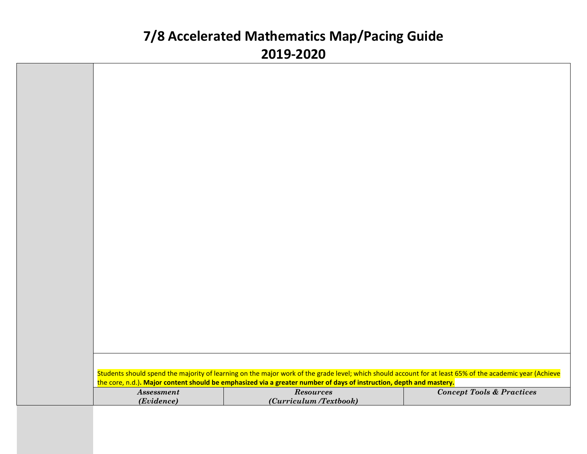|            | Students should spend the majority of learning on the major work of the grade level; which should account for at least 65% of the academic year (Achieve<br>the core, n.d.). Major content should be emphasized via a greater number of days of instruction, depth and mastery. |                                      |
|------------|---------------------------------------------------------------------------------------------------------------------------------------------------------------------------------------------------------------------------------------------------------------------------------|--------------------------------------|
| Assessment | <b>Resources</b>                                                                                                                                                                                                                                                                | <b>Concept Tools &amp; Practices</b> |
| (Evidence) | (Curriculum /Textbook)                                                                                                                                                                                                                                                          |                                      |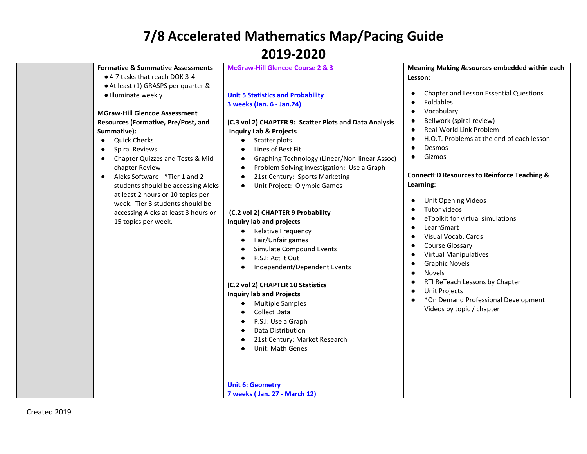|                                               | ZUIJ-ZUZU                                                  |                                                            |
|-----------------------------------------------|------------------------------------------------------------|------------------------------------------------------------|
| <b>Formative &amp; Summative Assessments</b>  | <b>McGraw-Hill Glencoe Course 2 &amp; 3</b>                | Meaning Making Resources embedded within each              |
| ● 4-7 tasks that reach DOK 3-4                |                                                            | Lesson:                                                    |
| • At least (1) GRASPS per quarter &           |                                                            |                                                            |
| · Illuminate weekly                           | <b>Unit 5 Statistics and Probability</b>                   | <b>Chapter and Lesson Essential Questions</b><br>$\bullet$ |
|                                               | 3 weeks (Jan. 6 - Jan. 24)                                 | <b>Foldables</b><br>$\bullet$                              |
| <b>MGraw-Hill Glencoe Assessment</b>          |                                                            | Vocabulary<br>$\bullet$                                    |
| <b>Resources (Formative, Pre/Post, and</b>    | (C.3 vol 2) CHAPTER 9: Scatter Plots and Data Analysis     | Bellwork (spiral review)<br>$\bullet$                      |
| Summative):                                   | <b>Inquiry Lab &amp; Projects</b>                          | Real-World Link Problem<br>$\bullet$                       |
| <b>Quick Checks</b>                           | Scatter plots<br>$\bullet$                                 | H.O.T. Problems at the end of each lesson<br>$\bullet$     |
| <b>Spiral Reviews</b><br>$\bullet$            | Lines of Best Fit<br>$\bullet$                             | Desmos<br>$\bullet$                                        |
| Chapter Quizzes and Tests & Mid-<br>$\bullet$ | Graphing Technology (Linear/Non-linear Assoc)<br>$\bullet$ | Gizmos<br>$\bullet$                                        |
| chapter Review                                | Problem Solving Investigation: Use a Graph<br>$\bullet$    |                                                            |
| Aleks Software- *Tier 1 and 2<br>$\bullet$    | 21st Century: Sports Marketing<br>$\bullet$                | <b>ConnectED Resources to Reinforce Teaching &amp;</b>     |
| students should be accessing Aleks            | Unit Project: Olympic Games<br>$\bullet$                   | Learning:                                                  |
| at least 2 hours or 10 topics per             |                                                            |                                                            |
| week. Tier 3 students should be               |                                                            | Unit Opening Videos<br>$\bullet$                           |
| accessing Aleks at least 3 hours or           | (C.2 vol 2) CHAPTER 9 Probability                          | Tutor videos<br>$\bullet$                                  |
|                                               |                                                            | eToolkit for virtual simulations<br>$\bullet$              |
| 15 topics per week.                           | Inquiry lab and projects                                   | LearnSmart<br>$\bullet$                                    |
|                                               | <b>Relative Frequency</b><br>$\bullet$                     | Visual Vocab. Cards<br>$\bullet$                           |
|                                               | Fair/Unfair games<br>$\bullet$                             | Course Glossary<br>$\bullet$                               |
|                                               | Simulate Compound Events<br>$\bullet$                      | <b>Virtual Manipulatives</b><br>$\bullet$                  |
|                                               | P.S.I: Act it Out<br>$\bullet$                             | <b>Graphic Novels</b><br>$\bullet$                         |
|                                               | Independent/Dependent Events<br>$\bullet$                  | Novels<br>$\bullet$                                        |
|                                               |                                                            | RTI ReTeach Lessons by Chapter<br>$\bullet$                |
|                                               | (C.2 vol 2) CHAPTER 10 Statistics                          | <b>Unit Projects</b><br>$\bullet$                          |
|                                               | <b>Inquiry lab and Projects</b>                            | *On Demand Professional Development<br>$\bullet$           |
|                                               | <b>Multiple Samples</b><br>$\bullet$                       | Videos by topic / chapter                                  |
|                                               | <b>Collect Data</b><br>$\bullet$                           |                                                            |
|                                               | P.S.I: Use a Graph<br>$\bullet$                            |                                                            |
|                                               | Data Distribution<br>$\bullet$                             |                                                            |
|                                               | 21st Century: Market Research<br>$\bullet$                 |                                                            |
|                                               | <b>Unit: Math Genes</b><br>$\bullet$                       |                                                            |
|                                               |                                                            |                                                            |
|                                               |                                                            |                                                            |
|                                               | <b>Unit 6: Geometry</b>                                    |                                                            |
|                                               | 7 weeks (Jan. 27 - March 12)                               |                                                            |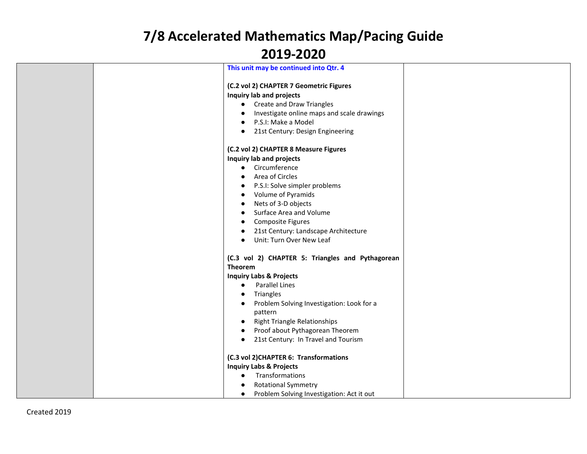| This unit may be continued into Qtr. 4                  |  |
|---------------------------------------------------------|--|
| (C.2 vol 2) CHAPTER 7 Geometric Figures                 |  |
| Inquiry lab and projects                                |  |
| • Create and Draw Triangles                             |  |
| Investigate online maps and scale drawings<br>$\bullet$ |  |
| • P.S.I: Make a Model                                   |  |
| • 21st Century: Design Engineering                      |  |
| (C.2 vol 2) CHAPTER 8 Measure Figures                   |  |
| Inquiry lab and projects                                |  |
| • Circumference                                         |  |
| Area of Circles<br>$\bullet$                            |  |
| P.S.I: Solve simpler problems<br>$\bullet$              |  |
| Volume of Pyramids<br>$\bullet$                         |  |
| Nets of 3-D objects<br>$\bullet$                        |  |
| Surface Area and Volume                                 |  |
| <b>Composite Figures</b><br>$\bullet$                   |  |
| 21st Century: Landscape Architecture<br>$\bullet$       |  |
| Unit: Turn Over New Leaf<br>$\bullet$                   |  |
| (C.3 vol 2) CHAPTER 5: Triangles and Pythagorean        |  |
| <b>Theorem</b>                                          |  |
| <b>Inquiry Labs &amp; Projects</b>                      |  |
| Parallel Lines<br>$\bullet$                             |  |
| Triangles<br>$\bullet$                                  |  |
| Problem Solving Investigation: Look for a<br>$\bullet$  |  |
| pattern                                                 |  |
| • Right Triangle Relationships                          |  |
| • Proof about Pythagorean Theorem                       |  |
| 21st Century: In Travel and Tourism<br>$\bullet$        |  |
| (C.3 vol 2) CHAPTER 6: Transformations                  |  |
| <b>Inquiry Labs &amp; Projects</b>                      |  |
| Transformations                                         |  |
| <b>Rotational Symmetry</b>                              |  |
| Problem Solving Investigation: Act it out<br>$\bullet$  |  |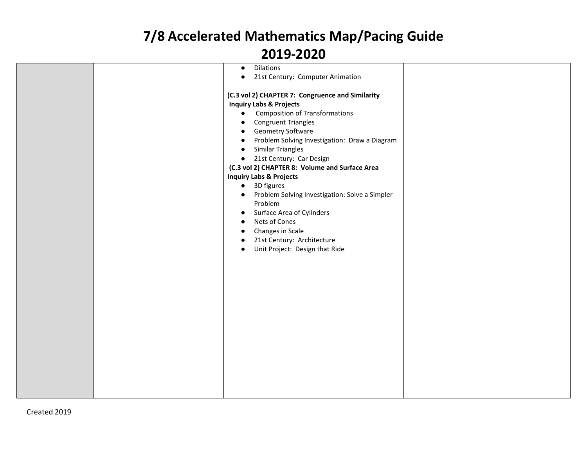|  | <b>Dilations</b><br>$\bullet$<br>21st Century: Computer Animation<br>$\bullet$<br>(C.3 vol 2) CHAPTER 7: Congruence and Similarity<br><b>Inquiry Labs &amp; Projects</b><br><b>Composition of Transformations</b><br>$\bullet$<br><b>Congruent Triangles</b><br>$\bullet$<br><b>Geometry Software</b><br>$\bullet$<br>Problem Solving Investigation: Draw a Diagram<br>$\bullet$<br><b>Similar Triangles</b><br>$\bullet$<br>• 21st Century: Car Design<br>(C.3 vol 2) CHAPTER 8: Volume and Surface Area<br><b>Inquiry Labs &amp; Projects</b><br>• 3D figures<br>Problem Solving Investigation: Solve a Simpler<br>$\bullet$<br>Problem<br>Surface Area of Cylinders<br>$\bullet$<br>Nets of Cones<br>$\bullet$<br>Changes in Scale<br>$\bullet$<br>21st Century: Architecture<br>$\bullet$<br>Unit Project: Design that Ride<br>$\bullet$ |  |
|--|----------------------------------------------------------------------------------------------------------------------------------------------------------------------------------------------------------------------------------------------------------------------------------------------------------------------------------------------------------------------------------------------------------------------------------------------------------------------------------------------------------------------------------------------------------------------------------------------------------------------------------------------------------------------------------------------------------------------------------------------------------------------------------------------------------------------------------------------|--|
|  |                                                                                                                                                                                                                                                                                                                                                                                                                                                                                                                                                                                                                                                                                                                                                                                                                                              |  |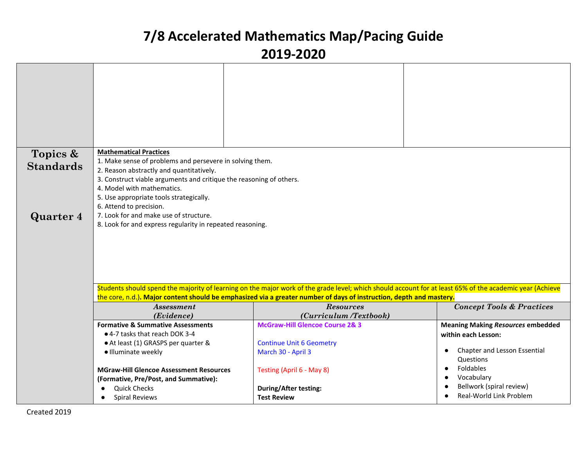| Topics &         | <b>Mathematical Practices</b>                                                                                                                            |                                                                                                                     |                                           |  |  |  |  |
|------------------|----------------------------------------------------------------------------------------------------------------------------------------------------------|---------------------------------------------------------------------------------------------------------------------|-------------------------------------------|--|--|--|--|
|                  | 1. Make sense of problems and persevere in solving them.                                                                                                 |                                                                                                                     |                                           |  |  |  |  |
| <b>Standards</b> | 2. Reason abstractly and quantitatively.                                                                                                                 |                                                                                                                     |                                           |  |  |  |  |
|                  | 3. Construct viable arguments and critique the reasoning of others.                                                                                      |                                                                                                                     |                                           |  |  |  |  |
|                  | 4. Model with mathematics.                                                                                                                               |                                                                                                                     |                                           |  |  |  |  |
|                  | 5. Use appropriate tools strategically.                                                                                                                  |                                                                                                                     |                                           |  |  |  |  |
|                  | 6. Attend to precision.                                                                                                                                  |                                                                                                                     |                                           |  |  |  |  |
| <b>Quarter 4</b> | 7. Look for and make use of structure.                                                                                                                   |                                                                                                                     |                                           |  |  |  |  |
|                  | 8. Look for and express regularity in repeated reasoning.                                                                                                |                                                                                                                     |                                           |  |  |  |  |
|                  |                                                                                                                                                          |                                                                                                                     |                                           |  |  |  |  |
|                  |                                                                                                                                                          |                                                                                                                     |                                           |  |  |  |  |
|                  |                                                                                                                                                          |                                                                                                                     |                                           |  |  |  |  |
|                  |                                                                                                                                                          |                                                                                                                     |                                           |  |  |  |  |
|                  |                                                                                                                                                          |                                                                                                                     |                                           |  |  |  |  |
|                  | Students should spend the majority of learning on the major work of the grade level; which should account for at least 65% of the academic year (Achieve |                                                                                                                     |                                           |  |  |  |  |
|                  |                                                                                                                                                          | the core, n.d.). Major content should be emphasized via a greater number of days of instruction, depth and mastery. |                                           |  |  |  |  |
|                  | <b>Assessment</b>                                                                                                                                        | <b>Resources</b>                                                                                                    | <b>Concept Tools &amp; Practices</b>      |  |  |  |  |
|                  | (Evidence)<br><b>Formative &amp; Summative Assessments</b>                                                                                               | (Curriculum /Textbook)<br><b>McGraw-Hill Glencoe Course 2&amp; 3</b>                                                | <b>Meaning Making Resources embedded</b>  |  |  |  |  |
|                  | ● 4-7 tasks that reach DOK 3-4                                                                                                                           |                                                                                                                     | within each Lesson:                       |  |  |  |  |
|                  | • At least (1) GRASPS per quarter &                                                                                                                      | <b>Continue Unit 6 Geometry</b>                                                                                     |                                           |  |  |  |  |
|                  | · Illuminate weekly                                                                                                                                      | March 30 - April 3                                                                                                  | Chapter and Lesson Essential<br>$\bullet$ |  |  |  |  |
|                  |                                                                                                                                                          |                                                                                                                     | Questions                                 |  |  |  |  |
|                  | <b>MGraw-Hill Glencoe Assessment Resources</b>                                                                                                           | Testing (April 6 - May 8)                                                                                           | Foldables                                 |  |  |  |  |
|                  | (Formative, Pre/Post, and Summative):                                                                                                                    |                                                                                                                     | Vocabulary                                |  |  |  |  |
|                  | <b>Quick Checks</b>                                                                                                                                      | <b>During/After testing:</b>                                                                                        | Bellwork (spiral review)                  |  |  |  |  |
|                  | <b>Spiral Reviews</b><br>$\bullet$                                                                                                                       | <b>Test Review</b>                                                                                                  | Real-World Link Problem                   |  |  |  |  |